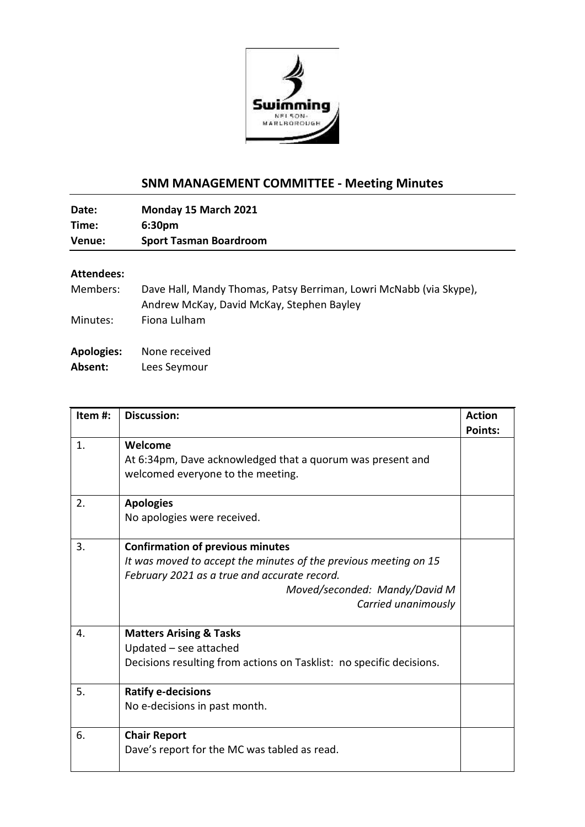

## **SNM MANAGEMENT COMMITTEE - Meeting Minutes**

**Date: Monday 15 March 2021 Time: 6:30pm Venue: Sport Tasman Boardroom**

## **Attendees:**

| Members:          | Dave Hall, Mandy Thomas, Patsy Berriman, Lowri McNabb (via Skype), |
|-------------------|--------------------------------------------------------------------|
|                   | Andrew McKay, David McKay, Stephen Bayley                          |
| Minutes:          | Fiona Lulham                                                       |
|                   |                                                                    |
| <b>Apologies:</b> | None received                                                      |
| Absent:           | Lees Seymour                                                       |

| Item#: | <b>Discussion:</b>                                                                                                                                                                                                  | <b>Action</b><br><b>Points:</b> |
|--------|---------------------------------------------------------------------------------------------------------------------------------------------------------------------------------------------------------------------|---------------------------------|
| 1.     | Welcome<br>At 6:34pm, Dave acknowledged that a quorum was present and<br>welcomed everyone to the meeting.                                                                                                          |                                 |
| 2.     | <b>Apologies</b><br>No apologies were received.                                                                                                                                                                     |                                 |
| 3.     | <b>Confirmation of previous minutes</b><br>It was moved to accept the minutes of the previous meeting on 15<br>February 2021 as a true and accurate record.<br>Moved/seconded: Mandy/David M<br>Carried unanimously |                                 |
| 4.     | <b>Matters Arising &amp; Tasks</b><br>Updated - see attached<br>Decisions resulting from actions on Tasklist: no specific decisions.                                                                                |                                 |
| 5.     | <b>Ratify e-decisions</b><br>No e-decisions in past month.                                                                                                                                                          |                                 |
| 6.     | <b>Chair Report</b><br>Dave's report for the MC was tabled as read.                                                                                                                                                 |                                 |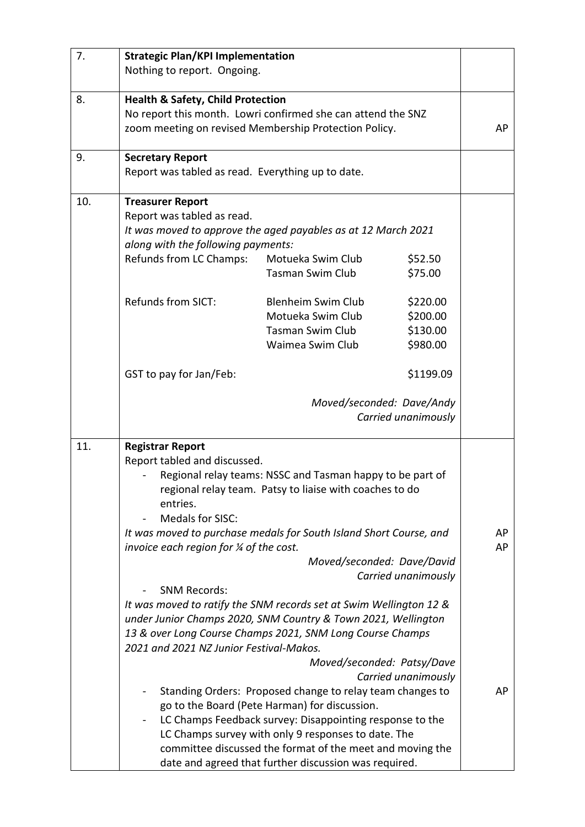| 7.  | <b>Strategic Plan/KPI Implementation</b>                           |                                                           |                           |    |
|-----|--------------------------------------------------------------------|-----------------------------------------------------------|---------------------------|----|
|     | Nothing to report. Ongoing.                                        |                                                           |                           |    |
| 8.  | <b>Health &amp; Safety, Child Protection</b>                       |                                                           |                           |    |
|     | No report this month. Lowri confirmed she can attend the SNZ       |                                                           |                           |    |
|     | zoom meeting on revised Membership Protection Policy.              |                                                           |                           | AP |
| 9.  | <b>Secretary Report</b>                                            |                                                           |                           |    |
|     | Report was tabled as read. Everything up to date.                  |                                                           |                           |    |
| 10. | <b>Treasurer Report</b>                                            |                                                           |                           |    |
|     | Report was tabled as read.                                         |                                                           |                           |    |
|     | It was moved to approve the aged payables as at 12 March 2021      |                                                           |                           |    |
|     | along with the following payments:                                 |                                                           |                           |    |
|     | Refunds from LC Champs:                                            | Motueka Swim Club                                         | \$52.50                   |    |
|     |                                                                    | Tasman Swim Club                                          | \$75.00                   |    |
|     | <b>Refunds from SICT:</b>                                          | Blenheim Swim Club                                        | \$220.00                  |    |
|     |                                                                    | Motueka Swim Club                                         | \$200.00                  |    |
|     |                                                                    | Tasman Swim Club                                          | \$130.00                  |    |
|     |                                                                    | Waimea Swim Club                                          | \$980.00                  |    |
|     | GST to pay for Jan/Feb:                                            |                                                           | \$1199.09                 |    |
|     |                                                                    |                                                           | Moved/seconded: Dave/Andy |    |
|     |                                                                    |                                                           | Carried unanimously       |    |
|     |                                                                    |                                                           |                           |    |
| 11. | <b>Registrar Report</b>                                            |                                                           |                           |    |
|     | Report tabled and discussed.                                       |                                                           |                           |    |
|     | Regional relay teams: NSSC and Tasman happy to be part of          |                                                           |                           |    |
|     |                                                                    | regional relay team. Patsy to liaise with coaches to do   |                           |    |
|     | entries.<br>Medals for SISC:                                       |                                                           |                           |    |
|     | It was moved to purchase medals for South Island Short Course, and |                                                           |                           | AP |
|     | invoice each region for % of the cost.                             |                                                           |                           | AP |
|     |                                                                    | Moved/seconded: Dave/David                                |                           |    |
|     |                                                                    |                                                           | Carried unanimously       |    |
|     | <b>SNM Records:</b>                                                |                                                           |                           |    |
|     | It was moved to ratify the SNM records set at Swim Wellington 12 & |                                                           |                           |    |
|     | under Junior Champs 2020, SNM Country & Town 2021, Wellington      |                                                           |                           |    |
|     | 13 & over Long Course Champs 2021, SNM Long Course Champs          |                                                           |                           |    |
|     | 2021 and 2021 NZ Junior Festival-Makos.                            |                                                           |                           |    |
|     |                                                                    | Moved/seconded: Patsy/Dave                                | Carried unanimously       |    |
|     |                                                                    | Standing Orders: Proposed change to relay team changes to |                           | AP |
|     |                                                                    | go to the Board (Pete Harman) for discussion.             |                           |    |
|     |                                                                    | LC Champs Feedback survey: Disappointing response to the  |                           |    |
|     | LC Champs survey with only 9 responses to date. The                |                                                           |                           |    |
|     |                                                                    | committee discussed the format of the meet and moving the |                           |    |
|     |                                                                    | date and agreed that further discussion was required.     |                           |    |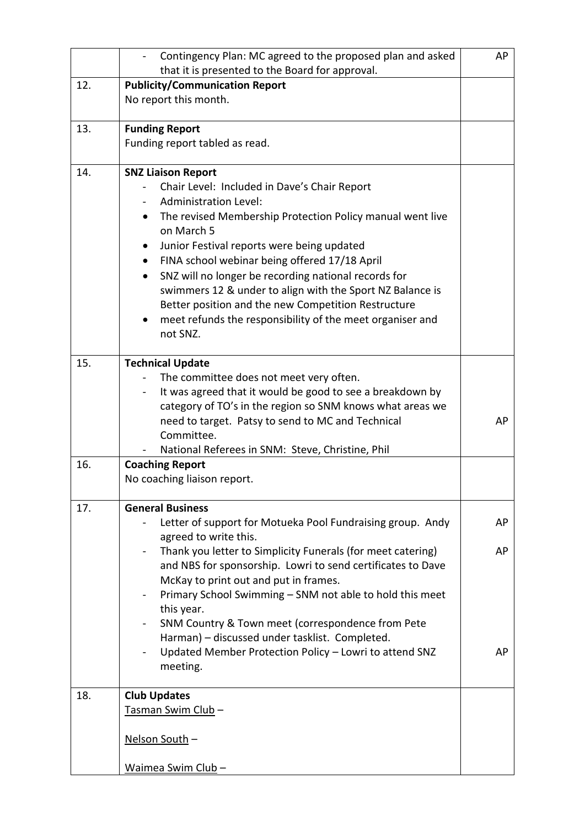|     | Contingency Plan: MC agreed to the proposed plan and asked                              | AP |  |
|-----|-----------------------------------------------------------------------------------------|----|--|
|     | that it is presented to the Board for approval.                                         |    |  |
| 12. | <b>Publicity/Communication Report</b>                                                   |    |  |
|     | No report this month.                                                                   |    |  |
|     |                                                                                         |    |  |
| 13. | <b>Funding Report</b>                                                                   |    |  |
|     | Funding report tabled as read.                                                          |    |  |
| 14. | <b>SNZ Liaison Report</b>                                                               |    |  |
|     | Chair Level: Included in Dave's Chair Report                                            |    |  |
|     | <b>Administration Level:</b>                                                            |    |  |
|     | The revised Membership Protection Policy manual went live<br>$\bullet$                  |    |  |
|     | on March 5                                                                              |    |  |
|     | Junior Festival reports were being updated                                              |    |  |
|     | FINA school webinar being offered 17/18 April<br>$\bullet$                              |    |  |
|     | SNZ will no longer be recording national records for<br>$\bullet$                       |    |  |
|     | swimmers 12 & under to align with the Sport NZ Balance is                               |    |  |
|     | Better position and the new Competition Restructure                                     |    |  |
|     | meet refunds the responsibility of the meet organiser and                               |    |  |
|     | not SNZ.                                                                                |    |  |
|     |                                                                                         |    |  |
| 15. | <b>Technical Update</b>                                                                 |    |  |
|     | The committee does not meet very often.                                                 |    |  |
|     | It was agreed that it would be good to see a breakdown by<br>$\overline{\phantom{a}}$   |    |  |
|     | category of TO's in the region so SNM knows what areas we                               |    |  |
|     | need to target. Patsy to send to MC and Technical<br>Committee.                         | AP |  |
|     | National Referees in SNM: Steve, Christine, Phil                                        |    |  |
| 16. | <b>Coaching Report</b>                                                                  |    |  |
|     | No coaching liaison report.                                                             |    |  |
|     |                                                                                         |    |  |
| 17. | <b>General Business</b>                                                                 |    |  |
|     | Letter of support for Motueka Pool Fundraising group. Andy                              | AP |  |
|     | agreed to write this.                                                                   |    |  |
|     | Thank you letter to Simplicity Funerals (for meet catering)<br>$\overline{\phantom{a}}$ | AP |  |
|     | and NBS for sponsorship. Lowri to send certificates to Dave                             |    |  |
|     | McKay to print out and put in frames.                                                   |    |  |
|     | Primary School Swimming - SNM not able to hold this meet<br>this year.                  |    |  |
|     | SNM Country & Town meet (correspondence from Pete                                       |    |  |
|     | Harman) - discussed under tasklist. Completed.                                          |    |  |
|     | Updated Member Protection Policy - Lowri to attend SNZ                                  | AP |  |
|     | meeting.                                                                                |    |  |
|     |                                                                                         |    |  |
| 18. | <b>Club Updates</b>                                                                     |    |  |
|     | Tasman Swim Club-                                                                       |    |  |
|     |                                                                                         |    |  |
|     | Nelson South -                                                                          |    |  |
|     |                                                                                         |    |  |
|     | <u> Waimea Swim Club</u> -                                                              |    |  |